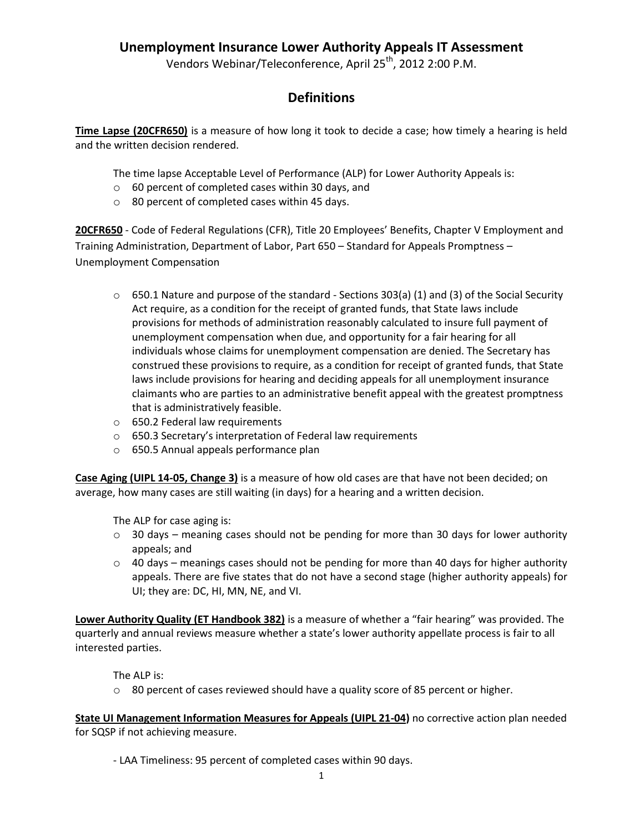Vendors Webinar/Teleconference, April 25<sup>th</sup>, 2012 2:00 P.M.

# **Definitions**

**Time Lapse (20CFR650)** is a measure of how long it took to decide a case; how timely a hearing is held and the written decision rendered.

The time lapse Acceptable Level of Performance (ALP) for Lower Authority Appeals is:

- o 60 percent of completed cases within 30 days, and
- o 80 percent of completed cases within 45 days.

**20CFR650** - Code of Federal Regulations (CFR), Title 20 Employees' Benefits, Chapter V Employment and Training Administration, Department of Labor, Part 650 – Standard for Appeals Promptness – Unemployment Compensation

- o 650.1 Nature and purpose of the standard Sections 303(a) (1) and (3) of the Social Security Act require, as a condition for the receipt of granted funds, that State laws include provisions for methods of administration reasonably calculated to insure full payment of unemployment compensation when due, and opportunity for a fair hearing for all individuals whose claims for unemployment compensation are denied. The Secretary has construed these provisions to require, as a condition for receipt of granted funds, that State laws include provisions for hearing and deciding appeals for all unemployment insurance claimants who are parties to an administrative benefit appeal with the greatest promptness that is administratively feasible.
- o 650.2 Federal law requirements
- o 650.3 Secretary's interpretation of Federal law requirements
- o 650.5 Annual appeals performance plan

**Case Aging (UIPL 14-05, Change 3)** is a measure of how old cases are that have not been decided; on average, how many cases are still waiting (in days) for a hearing and a written decision.

The ALP for case aging is:

- $\circ$  30 days meaning cases should not be pending for more than 30 days for lower authority appeals; and
- $\circ$  40 days meanings cases should not be pending for more than 40 days for higher authority appeals. There are five states that do not have a second stage (higher authority appeals) for UI; they are: DC, HI, MN, NE, and VI.

**Lower Authority Quality (ET Handbook 382)** is a measure of whether a "fair hearing" was provided. The quarterly and annual reviews measure whether a state's lower authority appellate process is fair to all interested parties.

The ALP is:

 $\circ$  80 percent of cases reviewed should have a quality score of 85 percent or higher.

**State UI Management Information Measures for Appeals (UIPL 21-04)** no corrective action plan needed for SQSP if not achieving measure.

- LAA Timeliness: 95 percent of completed cases within 90 days.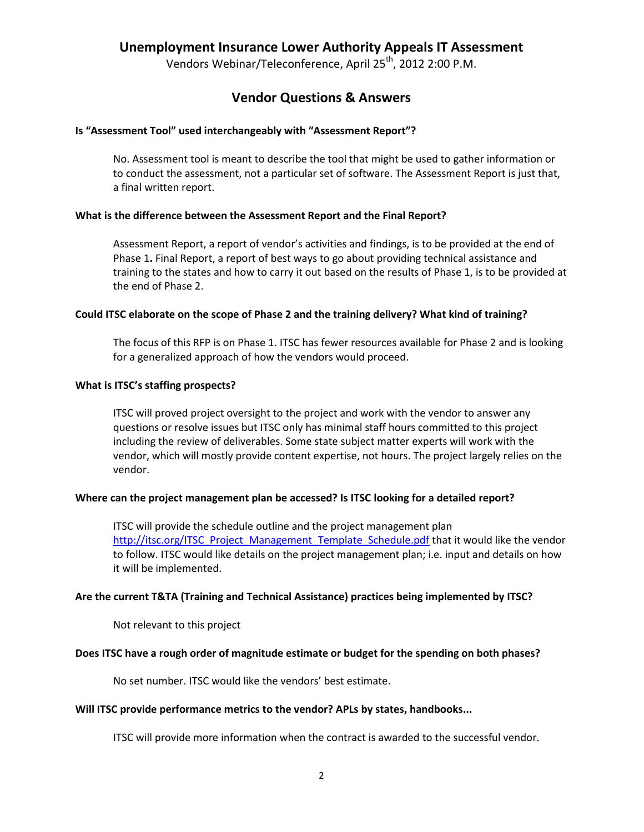Vendors Webinar/Teleconference, April 25<sup>th</sup>, 2012 2:00 P.M.

### **Vendor Questions & Answers**

#### **Is "Assessment Tool" used interchangeably with "Assessment Report"?**

No. Assessment tool is meant to describe the tool that might be used to gather information or to conduct the assessment, not a particular set of software. The Assessment Report is just that, a final written report.

#### **What is the difference between the Assessment Report and the Final Report?**

Assessment Report, a report of vendor's activities and findings, is to be provided at the end of Phase 1**.** Final Report, a report of best ways to go about providing technical assistance and training to the states and how to carry it out based on the results of Phase 1, is to be provided at the end of Phase 2.

#### **Could ITSC elaborate on the scope of Phase 2 and the training delivery? What kind of training?**

The focus of this RFP is on Phase 1. ITSC has fewer resources available for Phase 2 and is looking for a generalized approach of how the vendors would proceed.

#### **What is ITSC's staffing prospects?**

ITSC will proved project oversight to the project and work with the vendor to answer any questions or resolve issues but ITSC only has minimal staff hours committed to this project including the review of deliverables. Some state subject matter experts will work with the vendor, which will mostly provide content expertise, not hours. The project largely relies on the vendor.

### **Where can the project management plan be accessed? Is ITSC looking for a detailed report?**

ITSC will provide the schedule outline and the project management plan [http://itsc.org/ITSC\\_Project\\_Management\\_Template\\_Schedule.pdf](http://itsc.org/ITSC_Project_Management_Template_Schedule.pdf) that it would like the vendor to follow. ITSC would like details on the project management plan; i.e. input and details on how it will be implemented.

#### **Are the current T&TA (Training and Technical Assistance) practices being implemented by ITSC?**

Not relevant to this project

### **Does ITSC have a rough order of magnitude estimate or budget for the spending on both phases?**

No set number. ITSC would like the vendors' best estimate.

#### **Will ITSC provide performance metrics to the vendor? APLs by states, handbooks...**

ITSC will provide more information when the contract is awarded to the successful vendor.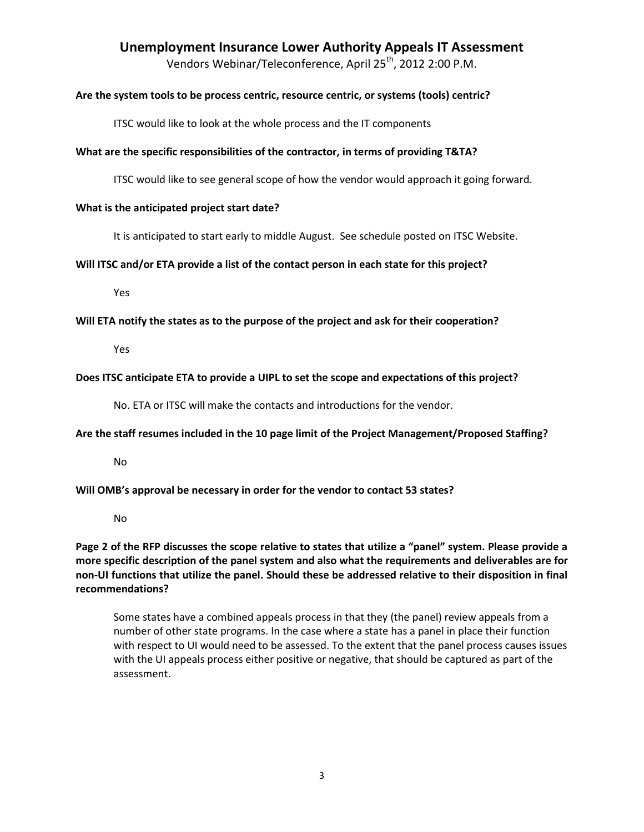Vendors Webinar/Teleconference, April 25<sup>th</sup>, 2012 2:00 P.M.

### **Are the system tools to be process centric, resource centric, or systems (tools) centric?**

ITSC would like to look at the whole process and the IT components

### **What are the specific responsibilities of the contractor, in terms of providing T&TA?**

ITSC would like to see general scope of how the vendor would approach it going forward.

### **What is the anticipated project start date?**

It is anticipated to start early to middle August. See schedule posted on ITSC Website.

### **Will ITSC and/or ETA provide a list of the contact person in each state for this project?**

Yes

### **Will ETA notify the states as to the purpose of the project and ask for their cooperation?**

Yes

### **Does ITSC anticipate ETA to provide a UIPL to set the scope and expectations of this project?**

No. ETA or ITSC will make the contacts and introductions for the vendor.

### **Are the staff resumes included in the 10 page limit of the Project Management/Proposed Staffing?**

No

### **Will OMB's approval be necessary in order for the vendor to contact 53 states?**

No

**Page 2 of the RFP discusses the scope relative to states that utilize a "panel" system. Please provide a more specific description of the panel system and also what the requirements and deliverables are for non-UI functions that utilize the panel. Should these be addressed relative to their disposition in final recommendations?**

Some states have a combined appeals process in that they (the panel) review appeals from a number of other state programs. In the case where a state has a panel in place their function with respect to UI would need to be assessed. To the extent that the panel process causes issues with the UI appeals process either positive or negative, that should be captured as part of the assessment.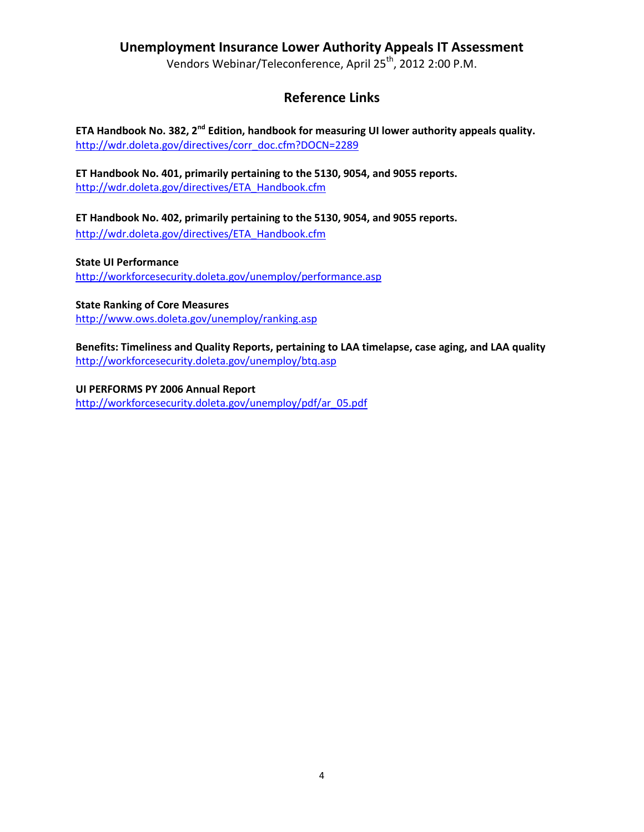Vendors Webinar/Teleconference, April 25<sup>th</sup>, 2012 2:00 P.M.

# **Reference Links**

**ETA Handbook No. 382, 2nd Edition, handbook for measuring UI lower authority appeals quality.** [http://wdr.doleta.gov/directives/corr\\_doc.cfm?DOCN=2289](http://wdr.doleta.gov/directives/corr_doc.cfm?DOCN=2289)

**ET Handbook No. 401, primarily pertaining to the 5130, 9054, and 9055 reports.** [http://wdr.doleta.gov/directives/ETA\\_Handbook.cfm](http://wdr.doleta.gov/directives/ETA_Handbook.cfm)

**ET Handbook No. 402, primarily pertaining to the 5130, 9054, and 9055 reports.** [http://wdr.doleta.gov/directives/ETA\\_Handbook.cfm](http://wdr.doleta.gov/directives/ETA_Handbook.cfm)

**State UI Performance** <http://workforcesecurity.doleta.gov/unemploy/performance.asp>

**State Ranking of Core Measures** <http://www.ows.doleta.gov/unemploy/ranking.asp>

**Benefits: Timeliness and Quality Reports, pertaining to LAA timelapse, case aging, and LAA quality** <http://workforcesecurity.doleta.gov/unemploy/btq.asp>

**UI PERFORMS PY 2006 Annual Report** http://workforcesecurity.doleta.gov/unemploy/pdf/ar\_05.pdf